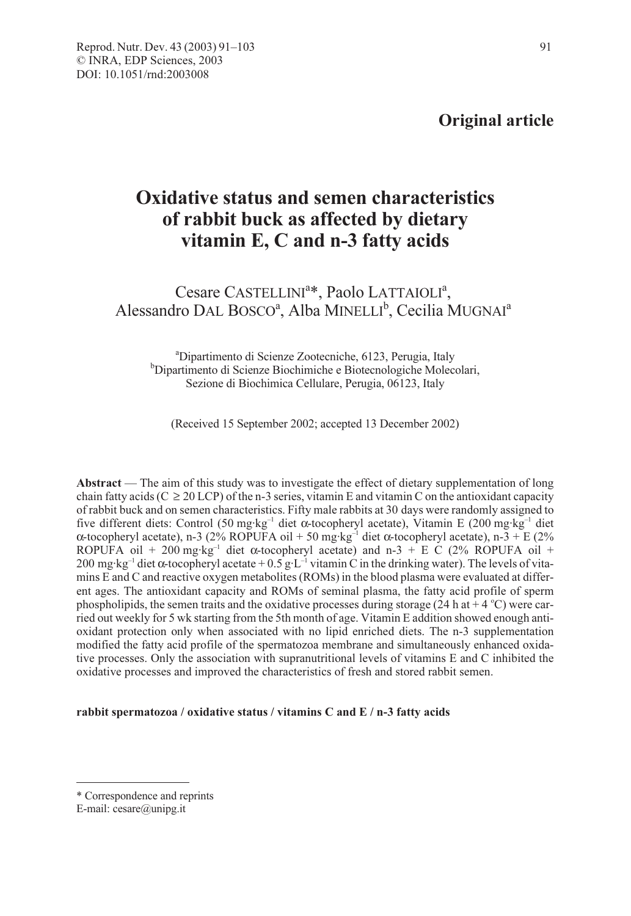## Original article

# Oxidative status and semen characteristics of rabbit buck as affected by dietary vitamin E, C and n-3 fatty acids

Cesare CASTELLINI<sup>a\*</sup>, Paolo LATTAIOLI<sup>a</sup>, Alessandro DAL BOSCO<sup>a</sup>, Alba MINELLI<sup>b</sup>, Cecilia MUGNAI<sup>a</sup>

<sup>a</sup> Dipartimento di Scienze Zootecniche, 6123, Perugia, Italy b<br><sup>b</sup> Dipartimento di Scienze Biochimiche e Biotecnologiche Molec Dipartimento di Scienze Biochimiche e Biotecnologiche Molecolari, Sezione di Biochimica Cellulare, Perugia, 06123, Italy

(Received 15 September 2002; accepted 13 December 2002)

Abstract — The aim of this study was to investigate the effect of dietary supplementation of long chain fatty acids ( $C \ge 20$  LCP) of the n-3 series, vitamin E and vitamin C on the antioxidant capacity of rabbit buck and on semen characteristics. Fifty male rabbits at 30 days were randomly assigned to five different diets: Control (50 mg·kg<sup>-1</sup> diet  $\alpha$ -tocopheryl acetate), Vitamin E (200 mg·kg<sup>-1</sup> diet α-tocopheryl acetate), n-3 (2% ROPUFA oil + 50 mg·kg<sup>-1</sup> diet α-tocopheryl acetate), n-3 + E (2% ROPUFA oil + 200 mg·kg<sup>-1</sup> diet α-tocopheryl acetate) and n-3 + E C (2% ROPUFA oil + 200 mg·kg<sup>-1</sup> diet α-tocopheryl acetate + 0.5 g·L<sup>-1</sup> vitamin C in the drinking water). The levels of vitamins E and C and reactive oxygen metabolites (ROMs) in the blood plasma were evaluated at different ages. The antioxidant capacity and ROMs of seminal plasma, the fatty acid profile of sperm phospholipids, the semen traits and the oxidative processes during storage (24 h at  $+$  4 °C) were carried out weekly for 5 wk starting from the 5th month of age. Vitamin E addition showed enough antioxidant protection only when associated with no lipid enriched diets. The n-3 supplementation modified the fatty acid profile of the spermatozoa membrane and simultaneously enhanced oxidative processes. Only the association with supranutritional levels of vitamins E and C inhibited the oxidative processes and improved the characteristics of fresh and stored rabbit semen.

#### rabbit spermatozoa / oxidative status / vitamins C and E / n-3 fatty acids

<sup>\*</sup> Correspondence and reprints

E-mail: cesare@unipg.it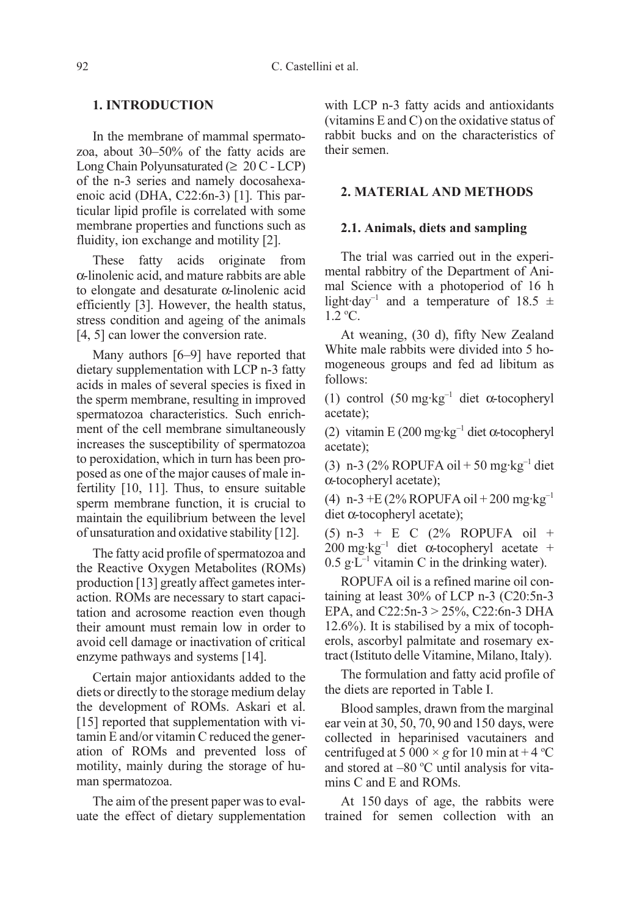## 1. INTRODUCTION

In the membrane of mammal spermatozoa, about 30–50% of the fatty acids are Long Chain Polyunsaturated ( $\geq 20$  C - LCP) of the n-3 series and namely docosahexaenoic acid (DHA, C22:6n-3) [1]. This particular lipid profile is correlated with some membrane properties and functions such as fluidity, ion exchange and motility [2].

These fatty acids originate from α-linolenic acid, and mature rabbits are able to elongate and desaturate α-linolenic acid efficiently [3]. However, the health status, stress condition and ageing of the animals [4, 5] can lower the conversion rate.

Many authors [6–9] have reported that dietary supplementation with LCP n-3 fatty acids in males of several species is fixed in the sperm membrane, resulting in improved spermatozoa characteristics. Such enrichment of the cell membrane simultaneously increases the susceptibility of spermatozoa to peroxidation, which in turn has been proposed as one of the major causes of male infertility [10, 11]. Thus, to ensure suitable sperm membrane function, it is crucial to maintain the equilibrium between the level of unsaturation and oxidative stability [12].

The fatty acid profile of spermatozoa and the Reactive Oxygen Metabolites (ROMs) production [13] greatly affect gametes interaction. ROMs are necessary to start capacitation and acrosome reaction even though their amount must remain low in order to avoid cell damage or inactivation of critical enzyme pathways and systems [14].

Certain major antioxidants added to the diets or directly to the storage medium delay the development of ROMs. Askari et al. [15] reported that supplementation with vitamin E and/or vitamin C reduced the generation of ROMs and prevented loss of motility, mainly during the storage of human spermatozoa.

The aim of the present paper was to evaluate the effect of dietary supplementation with LCP n-3 fatty acids and antioxidants (vitamins E and C) on the oxidative status of rabbit bucks and on the characteristics of their semen.

### 2. MATERIAL AND METHODS

## 2.1. Animals, diets and sampling

The trial was carried out in the experimental rabbitry of the Department of Animal Science with a photoperiod of 16 h light·day<sup>-1</sup> and a temperature of 18.5  $\pm$  $1.2 °C$ .

At weaning, (30 d), fifty New Zealand White male rabbits were divided into 5 homogeneous groups and fed ad libitum as follows:

(1) control  $(50 \text{ mg} \cdot \text{kg}^{-1})$  diet  $\alpha$ -tocopheryl acetate);

(2) vitamin E (200 mg·kg<sup>-1</sup> diet  $\alpha$ -tocopheryl acetate);

(3) n-3 (2% ROPUFA oil + 50 mg·kg<sup>-1</sup> diet α-tocopheryl acetate);

(4) n-3 + E (2% ROPUFA oil + 200 mg·kg<sup>-1</sup> diet α-tocopheryl acetate);

(5) n-3 + E C (2% ROPUFA oil + 200 mg·kg–1 diet α-tocopheryl acetate +  $0.5$  g·L<sup>-1</sup> vitamin C in the drinking water).

ROPUFA oil is a refined marine oil containing at least 30% of LCP n-3 (C20:5n-3 EPA, and C22:5n-3 > 25%, C22:6n-3 DHA 12.6%). It is stabilised by a mix of tocopherols, ascorbyl palmitate and rosemary extract (Istituto delle Vitamine, Milano, Italy).

The formulation and fatty acid profile of the diets are reported in Table I.

Blood samples, drawn from the marginal ear vein at 30, 50, 70, 90 and 150 days, were collected in heparinised vacutainers and centrifuged at 5 000  $\times$  g for 10 min at +4 °C and stored at  $-80$  °C until analysis for vitamins C and E and ROMs.

At 150 days of age, the rabbits were trained for semen collection with an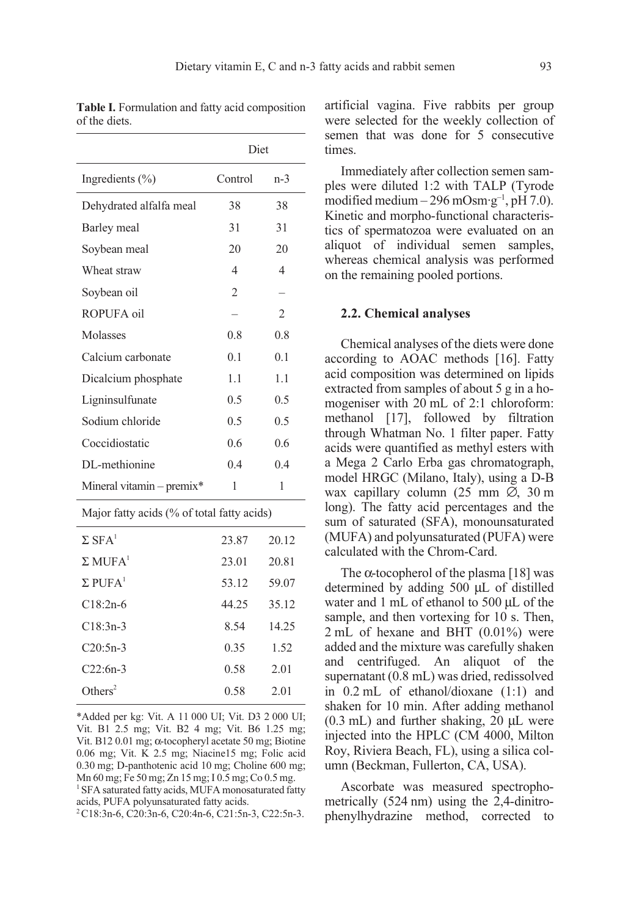|                                            | Diet           |                          |
|--------------------------------------------|----------------|--------------------------|
| Ingredients (%)                            | Control        | $n-3$                    |
| Dehydrated alfalfa meal                    | 38             | 38                       |
| Barley meal                                | 31             | 31                       |
| Soybean meal                               | 20             | 20                       |
| Wheat straw                                | $\overline{4}$ | 4                        |
| Soybean oil                                | $\overline{c}$ | $\overline{\phantom{0}}$ |
| ROPUFA oil                                 |                | $\overline{2}$           |
| Molasses                                   | 0.8            | 0.8                      |
| Calcium carbonate                          | 0.1            | 0.1                      |
| Dicalcium phosphate                        | 1.1            | 1.1                      |
| Ligninsulfunate                            | 0.5            | 0.5                      |
| Sodium chloride                            | 0.5            | 0.5                      |
| Coccidiostatic                             | 0.6            | 0.6                      |
| DL-methionine                              | 0.4            | 0.4                      |
| Mineral vitamin - premix*                  | 1              | 1                        |
| Major fatty acids (% of total fatty acids) |                |                          |
| $\Sigma$ SFA <sup>1</sup>                  | 23.87          | 20.12                    |
| $\Sigma$ MUFA <sup>1</sup>                 | 23.01          | 20.81                    |
| $\Sigma$ PUFA <sup>1</sup>                 | 53.12          | 59.07                    |
| $C18:2n-6$                                 | 44.25          | 35.12                    |
| $C18:3n-3$                                 | 8.54           | 14.25                    |
| $C20:5n-3$                                 | 0.35           | 1.52                     |
| $C22:6n-3$                                 | 0.58           | 2.01                     |
| Others <sup>2</sup>                        | 0.58           | 2.01                     |

\*Added per kg: Vit. A 11 000 UI; Vit. D3 2 000 UI; Vit. B1 2.5 mg; Vit. B2 4 mg; Vit. B6 1.25 mg; Vit. B12 0.01 mg; α-tocopheryl acetate 50 mg; Biotine 0.06 mg; Vit. K 2.5 mg; Niacine15 mg; Folic acid 0.30 mg; D-panthotenic acid 10 mg; Choline 600 mg; Mn 60 mg; Fe 50 mg; Zn 15 mg; I 0.5 mg; Co 0.5 mg. <sup>1</sup> SFA saturated fatty acids, MUFA monosaturated fatty acids, PUFA polyunsaturated fatty acids.

 $2^2C18:3n-6$ , C20:3n-6, C20:4n-6, C21:5n-3, C22:5n-3.

artificial vagina. Five rabbits per group were selected for the weekly collection of semen that was done for 5 consecutive times.

Immediately after collection semen samples were diluted 1:2 with TALP (Tyrode modified medium – 296 mOsm·g<sup>-1</sup>, pH 7.0). Kinetic and morpho-functional characteristics of spermatozoa were evaluated on an aliquot of individual semen samples, whereas chemical analysis was performed on the remaining pooled portions.

#### 2.2. Chemical analyses

Chemical analyses of the diets were done according to AOAC methods [16]. Fatty acid composition was determined on lipids extracted from samples of about 5 g in a homogeniser with 20 mL of 2:1 chloroform: methanol [17], followed by filtration through Whatman No. 1 filter paper. Fatty acids were quantified as methyl esters with a Mega 2 Carlo Erba gas chromatograph, model HRGC (Milano, Italy), using a D-B wax capillary column (25 mm ∅, 30 m long). The fatty acid percentages and the sum of saturated (SFA), monounsaturated (MUFA) and polyunsaturated (PUFA) were calculated with the Chrom-Card.

The  $\alpha$ -tocopherol of the plasma [18] was determined by adding 500 µL of distilled water and 1 mL of ethanol to 500 µL of the sample, and then vortexing for 10 s. Then, 2 mL of hexane and BHT (0.01%) were added and the mixture was carefully shaken and centrifuged. An aliquot of the supernatant (0.8 mL) was dried, redissolved in 0.2 mL of ethanol/dioxane (1:1) and shaken for 10 min. After adding methanol  $(0.3 \text{ mL})$  and further shaking, 20  $\mu$ L were injected into the HPLC (CM 4000, Milton Roy, Riviera Beach, FL), using a silica column (Beckman, Fullerton, CA, USA).

Ascorbate was measured spectrophometrically (524 nm) using the 2,4-dinitrophenylhydrazine method, corrected to

Table I. Formulation and fatty acid composition of the diets.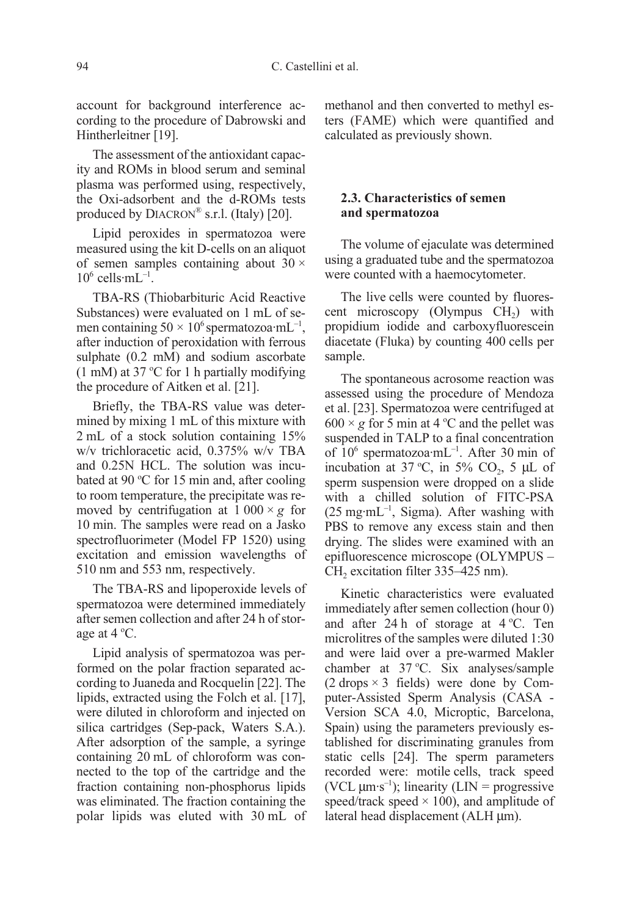account for background interference according to the procedure of Dabrowski and Hintherleitner [19].

The assessment of the antioxidant capacity and ROMs in blood serum and seminal plasma was performed using, respectively, the Oxi-adsorbent and the d-ROMs tests produced by  $DIACRON^{\circledR}$  s.r.l. (Italy) [20].

Lipid peroxides in spermatozoa were measured using the kit D-cells on an aliquot of semen samples containing about  $30 \times$  $10^6$  cells·mL $^{-1}$ .

TBA-RS (Thiobarbituric Acid Reactive Substances) were evaluated on 1 mL of semen containing  $50 \times 10^6$  spermatozoa·mL<sup>-1</sup>, after induction of peroxidation with ferrous sulphate (0.2 mM) and sodium ascorbate  $(1 \text{ mM})$  at 37 °C for 1 h partially modifying the procedure of Aitken et al. [21].

Briefly, the TBA-RS value was determined by mixing 1 mL of this mixture with 2 mL of a stock solution containing 15% w/v trichloracetic acid, 0.375% w/v TBA and 0.25N HCL. The solution was incubated at 90 °C for 15 min and, after cooling to room temperature, the precipitate was removed by centrifugation at  $1000 \times g$  for 10 min. The samples were read on a Jasko spectrofluorimeter (Model FP 1520) using excitation and emission wavelengths of 510 nm and 553 nm, respectively.

The TBA-RS and lipoperoxide levels of spermatozoa were determined immediately after semen collection and after 24 h of storage at  $4^{\circ}$ C.

Lipid analysis of spermatozoa was performed on the polar fraction separated according to Juaneda and Rocquelin [22]. The lipids, extracted using the Folch et al. [17], were diluted in chloroform and injected on silica cartridges (Sep-pack, Waters S.A.). After adsorption of the sample, a syringe containing 20 mL of chloroform was connected to the top of the cartridge and the fraction containing non-phosphorus lipids was eliminated. The fraction containing the polar lipids was eluted with 30 mL of methanol and then converted to methyl esters (FAME) which were quantified and calculated as previously shown.

## 2.3. Characteristics of semen and spermatozoa

The volume of ejaculate was determined using a graduated tube and the spermatozoa were counted with a haemocytometer.

The live cells were counted by fluorescent microscopy (Olympus  $CH<sub>2</sub>$ ) with propidium iodide and carboxyfluorescein diacetate (Fluka) by counting 400 cells per sample.

The spontaneous acrosome reaction was assessed using the procedure of Mendoza et al. [23]. Spermatozoa were centrifuged at  $600 \times g$  for 5 min at 4 °C and the pellet was suspended in TALP to a final concentration of 106 spermatozoa·mL–1. After 30 min of incubation at 37 °C, in 5%  $CO<sub>2</sub>$ , 5 µL of sperm suspension were dropped on a slide with a chilled solution of FITC-PSA  $(25 \text{ mg} \cdot \text{mL}^{-1}$ , Sigma). After washing with PBS to remove any excess stain and then drying. The slides were examined with an epifluorescence microscope (OLYMPUS – CH<sub>2</sub> excitation filter 335–425 nm).

Kinetic characteristics were evaluated immediately after semen collection (hour 0) and after 24 h of storage at  $4^{\circ}$ C. Ten microlitres of the samples were diluted 1:30 and were laid over a pre-warmed Makler chamber at 37 °C. Six analyses/sample  $(2 \text{ drops} \times 3 \text{ fields})$  were done by Computer-Assisted Sperm Analysis (CASA - Version SCA 4.0, Microptic, Barcelona, Spain) using the parameters previously established for discriminating granules from static cells [24]. The sperm parameters recorded were: motile cells, track speed (VCL  $\mu$ m·s<sup>-1</sup>); linearity (LIN = progressive speed/track speed  $\times$  100), and amplitude of lateral head displacement (ALH µm).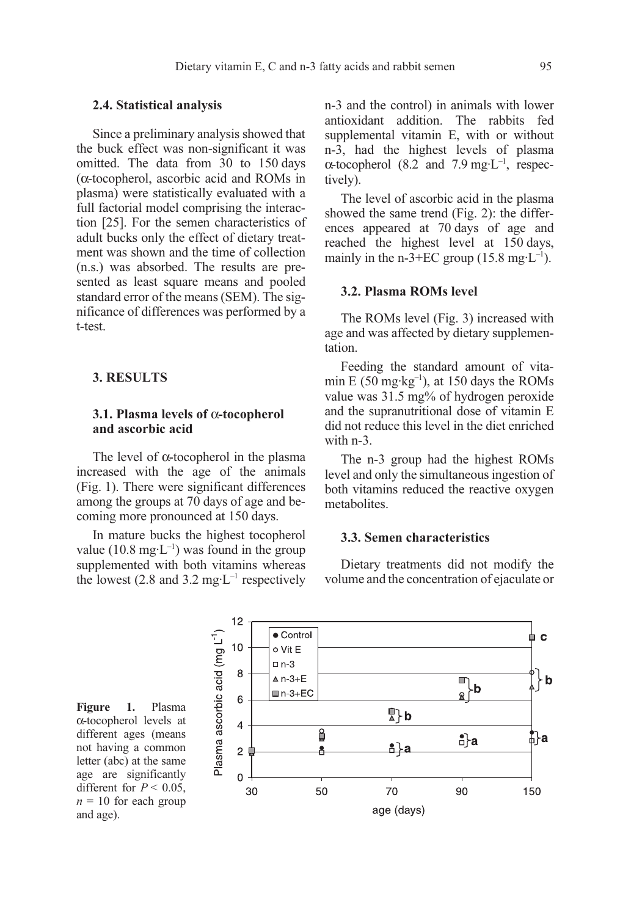#### 2.4. Statistical analysis

Since a preliminary analysis showed that the buck effect was non-significant it was omitted. The data from 30 to 150 days (α-tocopherol, ascorbic acid and ROMs in plasma) were statistically evaluated with a full factorial model comprising the interaction [25]. For the semen characteristics of adult bucks only the effect of dietary treatment was shown and the time of collection (n.s.) was absorbed. The results are presented as least square means and pooled standard error of the means (SEM). The significance of differences was performed by a t-test.

### 3. RESULTS

and age).

## 3.1. Plasma levels of α-tocopherol and ascorbic acid

The level of α-tocopherol in the plasma increased with the age of the animals (Fig. 1). There were significant differences among the groups at 70 days of age and becoming more pronounced at 150 days.

In mature bucks the highest tocopherol value (10.8 mg·L<sup>-1</sup>) was found in the group supplemented with both vitamins whereas the lowest (2.8 and 3.2 mg·L<sup>-1</sup> respectively n-3 and the control) in animals with lower antioxidant addition. The rabbits fed supplemental vitamin E, with or without n-3, had the highest levels of plasma  $\alpha$ -tocopherol (8.2 and 7.9 mg·L<sup>-1</sup>, respectively).

The level of ascorbic acid in the plasma showed the same trend (Fig. 2): the differences appeared at 70 days of age and reached the highest level at 150 days, mainly in the n-3+EC group  $(15.8 \text{ mg} \cdot \text{L}^{-1})$ .

## 3.2. Plasma ROMs level

The ROMs level (Fig. 3) increased with age and was affected by dietary supplementation.

Feeding the standard amount of vitamin E (50 mg·kg<sup>-1</sup>), at 150 days the ROMs value was 31.5 mg% of hydrogen peroxide and the supranutritional dose of vitamin E did not reduce this level in the diet enriched with n-3.

The n-3 group had the highest ROMs level and only the simultaneous ingestion of both vitamins reduced the reactive oxygen metabolites.

### 3.3. Semen characteristics

Dietary treatments did not modify the volume and the concentration of ejaculate or

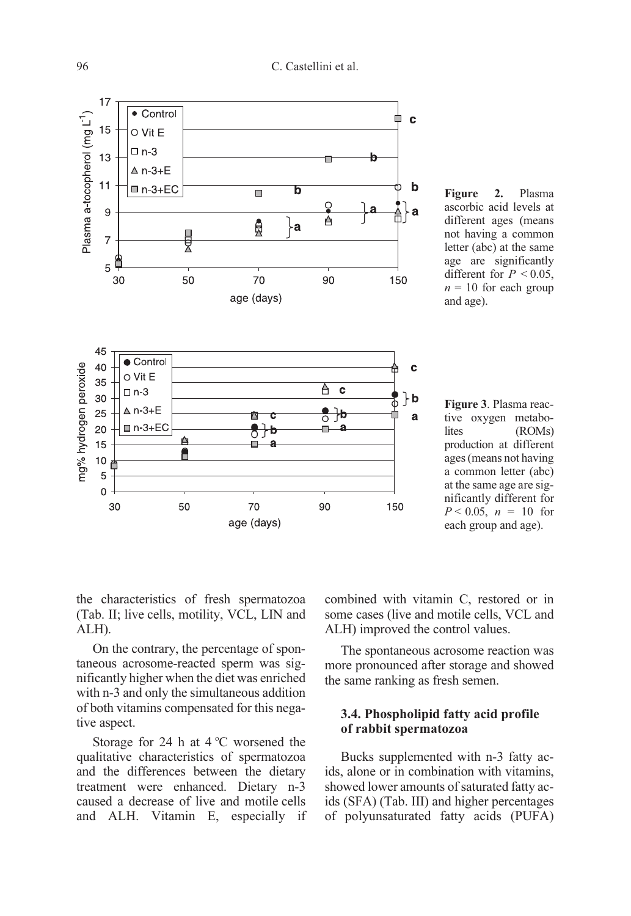

Figure 2. Plasma ascorbic acid levels at different ages (means not having a common letter (abc) at the same age are significantly different for  $P < 0.05$ ,  $n = 10$  for each group and age).

Figure 3. Plasma reactive oxygen metabolites (ROMs) production at different ages (means not having a common letter (abc) at the same age are significantly different for  $P < 0.05$ ,  $n = 10$  for each group and age).

the characteristics of fresh spermatozoa (Tab. II; live cells, motility, VCL, LIN and ALH).

On the contrary, the percentage of spontaneous acrosome-reacted sperm was significantly higher when the diet was enriched with n-3 and only the simultaneous addition of both vitamins compensated for this negative aspect.

Storage for 24 h at  $4^{\circ}$ C worsened the qualitative characteristics of spermatozoa and the differences between the dietary treatment were enhanced. Dietary n-3 caused a decrease of live and motile cells and ALH. Vitamin E, especially if combined with vitamin C, restored or in some cases (live and motile cells, VCL and ALH) improved the control values.

The spontaneous acrosome reaction was more pronounced after storage and showed the same ranking as fresh semen.

## 3.4. Phospholipid fatty acid profile of rabbit spermatozoa

Bucks supplemented with n-3 fatty acids, alone or in combination with vitamins, showed lower amounts of saturated fatty acids (SFA) (Tab. III) and higher percentages of polyunsaturated fatty acids (PUFA)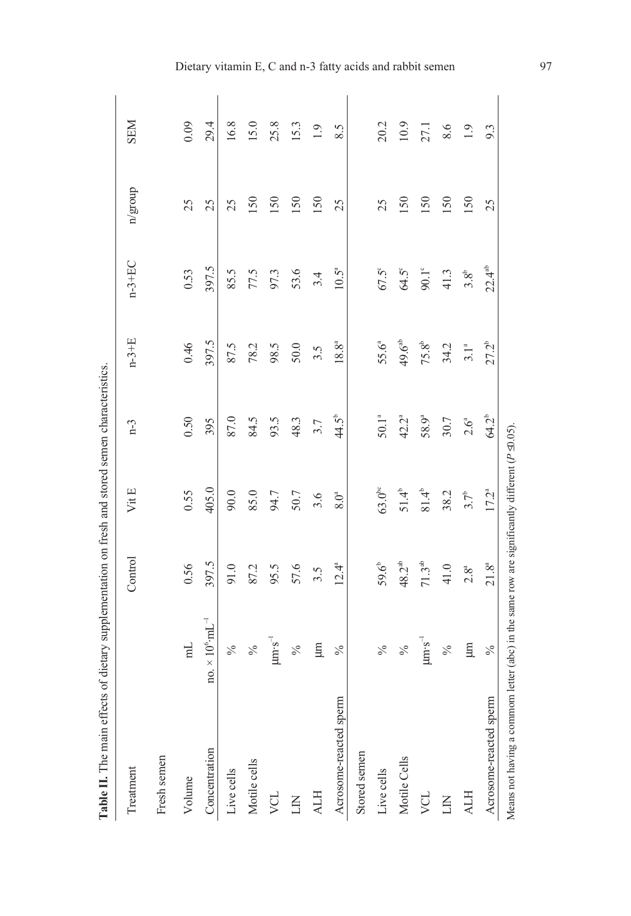| Table II. The main effects of dietary supplementation on fresh and stored semen characteristics.                 |                                     |                    |                |                   |                   |                |         |            |
|------------------------------------------------------------------------------------------------------------------|-------------------------------------|--------------------|----------------|-------------------|-------------------|----------------|---------|------------|
| Treatment                                                                                                        |                                     | Control            | VitE           | $n-3$             | $n-3+E$           | $n-3+EC$       | n/group | <b>NES</b> |
| Fresh semen                                                                                                      |                                     |                    |                |                   |                   |                |         |            |
| Volume                                                                                                           | $\overline{\mathbf{m}}$             | 0.56               | 0.55           | 0.50              | 0.46              | 0.53           | 25      | 0.09       |
| Concentration                                                                                                    | no. $\times 10^6$ ·mL <sup>-1</sup> | 397.5              | 405.0          | 395               | 397.5             | 397.5          | 25      | 29.4       |
| Live cells                                                                                                       | $\frac{5}{6}$                       | 91.0               | 90.0           | 87.0              | 87.5              | 85.5           | 25      | 16.8       |
| Motile cells                                                                                                     | $\sqrt{6}$                          | 87.2               | 85.0           | 84.5              | 78.2              | 77.5           | 150     | 15.0       |
| VCL                                                                                                              | $\mu$ m $\cdot$ s <sup>-1</sup>     | 95.5               | 94.7           | 93.5              | 98.5              | 97.3           | 150     | 25.8       |
| E                                                                                                                | $\%$                                | 57.6               | 50.7           | 48.3              | 50.0              | 53.6           | 150     | 15.3       |
| <b>ALH</b>                                                                                                       | E                                   | 3.5                | 3.6            | 3.7               | 3.5               | 3.4            | 150     | 1.9        |
| Acrosome-reacted sperm                                                                                           | $\%$                                | $12.4^{a}$         | $8.0^a$        | $44.5^{\circ}$    | 18.8 <sup>a</sup> | $10.5^a$       | 25      | 8.5        |
| Stored semen                                                                                                     |                                     |                    |                |                   |                   |                |         |            |
| Live cells                                                                                                       | $\sqrt{6}$                          | $59.6^{\circ}$     | $63.0^{\circ}$ | $50.1^\mathrm{a}$ | 55.6 <sup>a</sup> | $67.5^\circ$   | 25      | 20.2       |
| Motile Cells                                                                                                     | $\frac{6}{6}$                       | 48.2 <sup>ab</sup> | $51.4^{b}$     | 42.2 <sup>a</sup> | $49.6^{ab}$       | $64.5^\circ$   | 150     | 10.9       |
| VCL                                                                                                              | $\mu \text{m} \cdot \text{s}^{-1}$  | $71.3^{\text{ab}}$ | $81.4^{\circ}$ | 58.9ª             | $75.8^{b}$        | $90.1^{\circ}$ | 150     | 27.1       |
| E                                                                                                                | $\sqrt{6}$                          | 41.0               | 38.2           | 30.7              | 34.2              | 41.3           | 150     | 8.6        |
| <b>ALH</b>                                                                                                       | E                                   | $2.8^a$            | $3.7^{\circ}$  | $2.6^{a}$         | 3.1 <sup>a</sup>  | $3.8^{b}$      | 150     | 1.9        |
| Acrosome-reacted sperm                                                                                           | $\%$                                | $21.8^{a}$         | $17.2^{a}$     | 64.2 <sup>b</sup> | $27.2^{b}$        | $22.4^{ab}$    | 25      | 9.3        |
| Means not having a commom letter (abc) in the same row are significantly different ( $P \trianglelefteq 0.05$ ). |                                     |                    |                |                   |                   |                |         |            |

Ŕ J, Ā  $\frac{1}{\sqrt{2}}$  $\overline{a}$ ń Ŕ  $\mathcal{F}$  din မှ Ŀ,

Dietary vitamin E, C and n-3 fatty acids and rabbit semen 97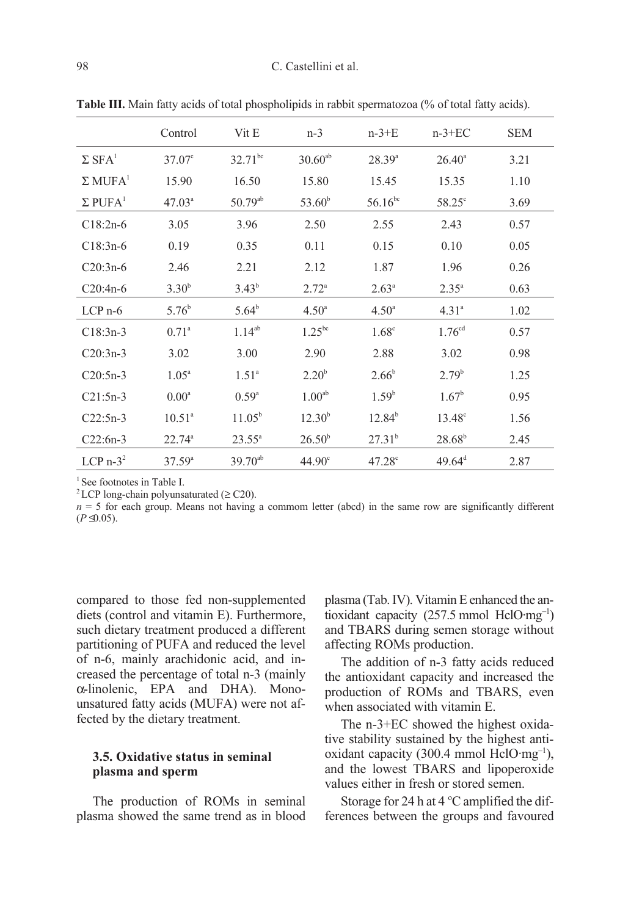|                            | Control            | Vit E           | $n-3$              | $n-3+E$            | $n-3+EC$           | <b>SEM</b> |
|----------------------------|--------------------|-----------------|--------------------|--------------------|--------------------|------------|
| $\Sigma$ SFA <sup>1</sup>  | $37.07^{\circ}$    | $32.71^{bc}$    | $30.60^{ab}$       | $28.39^{a}$        | $26.40^{\circ}$    | 3.21       |
| $\Sigma$ MUFA <sup>1</sup> | 15.90              | 16.50           | 15.80              | 15.45              | 15.35              | 1.10       |
| $\Sigma$ PUFA <sup>1</sup> | $47.03^{\circ}$    | $50.79^{ab}$    | $53.60^{\rm b}$    | $56.16^{bc}$       | $58.25^\circ$      | 3.69       |
| $C18:2n-6$                 | 3.05               | 3.96            | 2.50               | 2.55               | 2.43               | 0.57       |
| $C18:3n-6$                 | 0.19               | 0.35            | 0.11               | 0.15               | 0.10               | 0.05       |
| $C20:3n-6$                 | 2.46               | 2.21            | 2.12               | 1.87               | 1.96               | 0.26       |
| $C20:4n-6$                 | $3.30^{b}$         | $3.43^{b}$      | $2.72^{\circ}$     | $2.63^{\circ}$     | $2.35^a$           | 0.63       |
| $LCP$ n-6                  | $5.76^b$           | $5.64^b$        | $4.50^{\circ}$     | $4.50^{\circ}$     | 4.31 <sup>a</sup>  | 1.02       |
| $C18:3n-3$                 | $0.71^{\circ}$     | $1.14^{ab}$     | $1.25^{bc}$        | 1.68 <sup>c</sup>  | 1.76 <sup>cd</sup> | 0.57       |
| $C20:3n-3$                 | 3.02               | 3.00            | 2.90               | 2.88               | 3.02               | 0.98       |
| $C20:5n-3$                 | $1.05^{\circ}$     | $1.51^{\circ}$  | $2.20^{b}$         | $2.66^{\rm b}$     | $2.79^{\rm b}$     | 1.25       |
| $C21:5n-3$                 | 0.00 <sup>a</sup>  | $0.59^{\circ}$  | 1.00 <sup>ab</sup> | 1.59 <sup>b</sup>  | $1.67^{\rm b}$     | 0.95       |
| $C22:5n-3$                 | 10.51 <sup>a</sup> | $11.05^{\rm b}$ | $12.30^{b}$        | $12.84^{b}$        | $13.48^{\circ}$    | 1.56       |
| $C22:6n-3$                 | $22.74^{\circ}$    | $23.55^{\circ}$ | $26.50^{b}$        | $27.31^{b}$        | $28.68^{b}$        | 2.45       |
| LCP $n-3^2$                | $37.59^{a}$        | $39.70^{ab}$    | $44.90^{\circ}$    | 47.28 <sup>c</sup> | $49.64^{\text{d}}$ | 2.87       |

Table III. Main fatty acids of total phospholipids in rabbit spermatozoa (% of total fatty acids).

<sup>1</sup> See footnotes in Table I.

<sup>2</sup> LCP long-chain polyunsaturated ( $\geq$  C20).

 $n = 5$  for each group. Means not having a commom letter (abcd) in the same row are significantly different  $(P \trianglelefteq 0.05)$ .

compared to those fed non-supplemented diets (control and vitamin E). Furthermore, such dietary treatment produced a different partitioning of PUFA and reduced the level of n-6, mainly arachidonic acid, and increased the percentage of total n-3 (mainly α-linolenic, EPA and DHA). Monounsatured fatty acids (MUFA) were not affected by the dietary treatment.

## 3.5. Oxidative status in seminal plasma and sperm

The production of ROMs in seminal plasma showed the same trend as in blood plasma (Tab. IV). Vitamin E enhanced the antioxidant capacity (257.5 mmol HclO·mg–1) and TBARS during semen storage without affecting ROMs production.

The addition of n-3 fatty acids reduced the antioxidant capacity and increased the production of ROMs and TBARS, even when associated with vitamin E.

The n-3+EC showed the highest oxidative stability sustained by the highest antioxidant capacity (300.4 mmol HclO·mg<sup>-1</sup>), and the lowest TBARS and lipoperoxide values either in fresh or stored semen.

Storage for 24 h at  $4^{\circ}$ C amplified the differences between the groups and favoured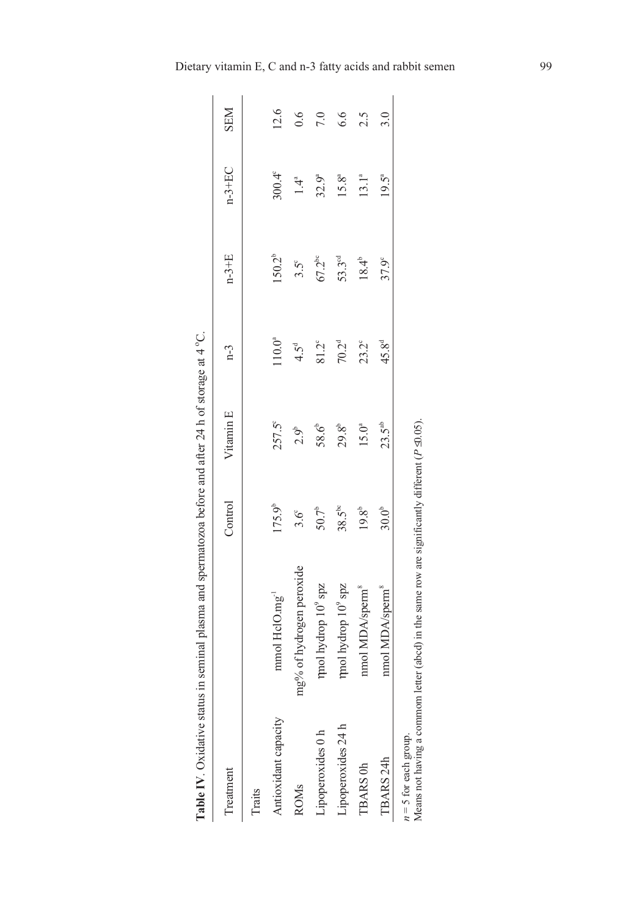|                         | <b>Table IV</b> . Oxidative status in seminal plasma and spermatozoa before and after 24 h of storage at $4^{\circ}$ C. |                |                   |                   |                    |                 |            |
|-------------------------|-------------------------------------------------------------------------------------------------------------------------|----------------|-------------------|-------------------|--------------------|-----------------|------------|
| Treatment               |                                                                                                                         | Control        | Vitamin E         | $n-3$             | $n-3+E$            | $n-3+EC$        | <b>NES</b> |
| Traits                  |                                                                                                                         |                |                   |                   |                    |                 |            |
| Antioxidant capacity    | $mmol$ HclO. $mg^{-1}$                                                                                                  | $175.9^b$      | 257.5°            | $110.0^a$         | $150.2^{b}$        | $300.4^{\circ}$ | 12.6       |
| <b>ROM<sub>s</sub></b>  | mg% of hydrogen peroxide                                                                                                | $3.6^\circ$    | $2.9^{\circ}$     | $4.5^{\circ}$     | $3.5^\circ$        | $1.4^a$         | 0.6        |
| Lipoperoxides 0 h       | rmol hydrop $10^9\,\mathrm{spz}$                                                                                        | $50.7^{\circ}$ | 58.6 <sup>+</sup> | $81.2^\circ$      | $67.2^{bc}$        | $32.9^{a}$      | 7.0        |
| Lipoperoxides 24 h      | mol hydrop 10 <sup>9</sup> spz                                                                                          | $38.5^{bc}$    | $29.8^{\circ}$    | 70.2 <sup>d</sup> | 53.3 <sup>od</sup> | $15.8^{a}$      | 6.6        |
| TBARS 0h                | nmol MDA/sperm <sup>8</sup>                                                                                             | $19.8^{b}$     | $15.0^{a}$        | $23.2^{\circ}$    | $18.4^{b}$         | $13.1^{a}$      | 2.5        |
| TBARS 24h               | nmol MDA/sperm <sup>8</sup>                                                                                             | $30.0^{b}$     | $23.5^{ab}$       | $45.8^{d}$        | 37.9°              | $19.5^{a}$      | 3.0        |
| $n = 5$ for each group. | Means not having a commom letter (abcd) in the same row are significantly different $(P \trianglelefteq 0.05)$ .        |                |                   |                   |                    |                 |            |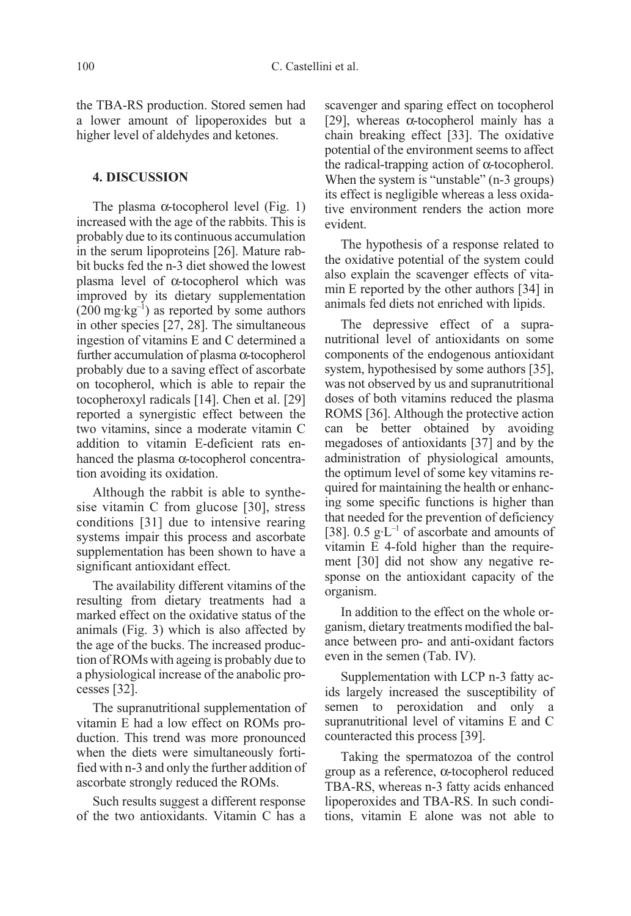the TBA-RS production. Stored semen had a lower amount of lipoperoxides but a higher level of aldehydes and ketones.

### 4. DISCUSSION

The plasma  $\alpha$ -tocopherol level (Fig. 1) increased with the age of the rabbits. This is probably due to its continuous accumulation in the serum lipoproteins [26]. Mature rabbit bucks fed the n-3 diet showed the lowest plasma level of α-tocopherol which was improved by its dietary supplementation  $(200 \text{ mg} \cdot \text{kg}^{-1})$  as reported by some authors in other species [27, 28]. The simultaneous ingestion of vitamins E and C determined a further accumulation of plasma α-tocopherol probably due to a saving effect of ascorbate on tocopherol, which is able to repair the tocopheroxyl radicals [14]. Chen et al. [29] reported a synergistic effect between the two vitamins, since a moderate vitamin C addition to vitamin E-deficient rats enhanced the plasma α-tocopherol concentration avoiding its oxidation.

Although the rabbit is able to synthesise vitamin C from glucose [30], stress conditions [31] due to intensive rearing systems impair this process and ascorbate supplementation has been shown to have a significant antioxidant effect.

The availability different vitamins of the resulting from dietary treatments had a marked effect on the oxidative status of the animals (Fig. 3) which is also affected by the age of the bucks. The increased production of ROMs with ageing is probably due to a physiological increase of the anabolic processes [32].

The supranutritional supplementation of vitamin E had a low effect on ROMs production. This trend was more pronounced when the diets were simultaneously fortified with n-3 and only the further addition of ascorbate strongly reduced the ROMs.

Such results suggest a different response of the two antioxidants. Vitamin C has a scavenger and sparing effect on tocopherol [29], whereas  $\alpha$ -tocopherol mainly has a chain breaking effect [33]. The oxidative potential of the environment seems to affect the radical-trapping action of α-tocopherol. When the system is "unstable" (n-3 groups) its effect is negligible whereas a less oxidative environment renders the action more evident.

The hypothesis of a response related to the oxidative potential of the system could also explain the scavenger effects of vitamin E reported by the other authors [34] in animals fed diets not enriched with lipids.

The depressive effect of a supranutritional level of antioxidants on some components of the endogenous antioxidant system, hypothesised by some authors [35], was not observed by us and supranutritional doses of both vitamins reduced the plasma ROMS [36]. Although the protective action can be better obtained by avoiding megadoses of antioxidants [37] and by the administration of physiological amounts, the optimum level of some key vitamins required for maintaining the health or enhancing some specific functions is higher than that needed for the prevention of deficiency [38].  $0.5 \text{ g} \cdot L^{-1}$  of ascorbate and amounts of vitamin E 4-fold higher than the requirement [30] did not show any negative response on the antioxidant capacity of the organism.

In addition to the effect on the whole organism, dietary treatments modified the balance between pro- and anti-oxidant factors even in the semen (Tab. IV).

Supplementation with LCP n-3 fatty acids largely increased the susceptibility of semen to peroxidation and only a supranutritional level of vitamins E and C counteracted this process [39].

Taking the spermatozoa of the control group as a reference, α-tocopherol reduced TBA-RS, whereas n-3 fatty acids enhanced lipoperoxides and TBA-RS. In such conditions, vitamin E alone was not able to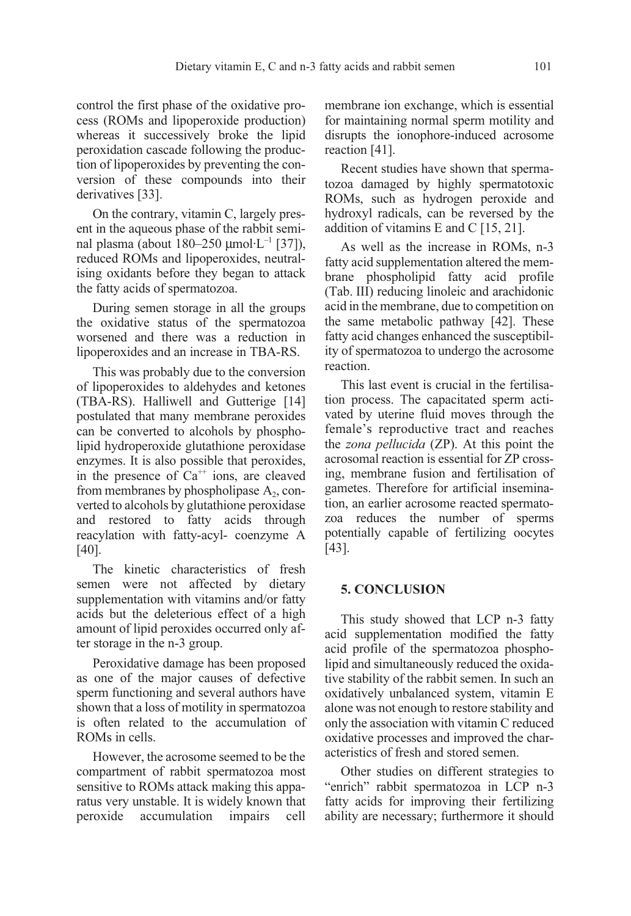control the first phase of the oxidative process (ROMs and lipoperoxide production) whereas it successively broke the lipid peroxidation cascade following the production of lipoperoxides by preventing the conversion of these compounds into their derivatives [33].

On the contrary, vitamin C, largely present in the aqueous phase of the rabbit seminal plasma (about  $180-250 \mu$ mol·L<sup>-1</sup> [37]), reduced ROMs and lipoperoxides, neutralising oxidants before they began to attack the fatty acids of spermatozoa.

During semen storage in all the groups the oxidative status of the spermatozoa worsened and there was a reduction in lipoperoxides and an increase in TBA-RS.

This was probably due to the conversion of lipoperoxides to aldehydes and ketones (TBA-RS). Halliwell and Gutterige [14] postulated that many membrane peroxides can be converted to alcohols by phospholipid hydroperoxide glutathione peroxidase enzymes. It is also possible that peroxides, in the presence of  $Ca^{++}$  ions, are cleaved from membranes by phospholipase  $A_2$ , converted to alcohols by glutathione peroxidase and restored to fatty acids through reacylation with fatty-acyl- coenzyme A [40].

The kinetic characteristics of fresh semen were not affected by dietary supplementation with vitamins and/or fatty acids but the deleterious effect of a high amount of lipid peroxides occurred only after storage in the n-3 group.

Peroxidative damage has been proposed as one of the major causes of defective sperm functioning and several authors have shown that a loss of motility in spermatozoa is often related to the accumulation of ROMs in cells.

However, the acrosome seemed to be the compartment of rabbit spermatozoa most sensitive to ROMs attack making this apparatus very unstable. It is widely known that peroxide accumulation impairs cell membrane ion exchange, which is essential for maintaining normal sperm motility and disrupts the ionophore-induced acrosome reaction [41].

Recent studies have shown that spermatozoa damaged by highly spermatotoxic ROMs, such as hydrogen peroxide and hydroxyl radicals, can be reversed by the addition of vitamins E and C [15, 21].

As well as the increase in ROMs, n-3 fatty acid supplementation altered the membrane phospholipid fatty acid profile (Tab. III) reducing linoleic and arachidonic acid in the membrane, due to competition on the same metabolic pathway [42]. These fatty acid changes enhanced the susceptibility of spermatozoa to undergo the acrosome reaction.

This last event is crucial in the fertilisation process. The capacitated sperm activated by uterine fluid moves through the female's reproductive tract and reaches the zona pellucida (ZP). At this point the acrosomal reaction is essential for ZP crossing, membrane fusion and fertilisation of gametes. Therefore for artificial insemination, an earlier acrosome reacted spermatozoa reduces the number of sperms potentially capable of fertilizing oocytes [43].

## 5. CONCLUSION

This study showed that LCP n-3 fatty acid supplementation modified the fatty acid profile of the spermatozoa phospholipid and simultaneously reduced the oxidative stability of the rabbit semen. In such an oxidatively unbalanced system, vitamin E alone was not enough to restore stability and only the association with vitamin C reduced oxidative processes and improved the characteristics of fresh and stored semen.

Other studies on different strategies to "enrich" rabbit spermatozoa in LCP n-3 fatty acids for improving their fertilizing ability are necessary; furthermore it should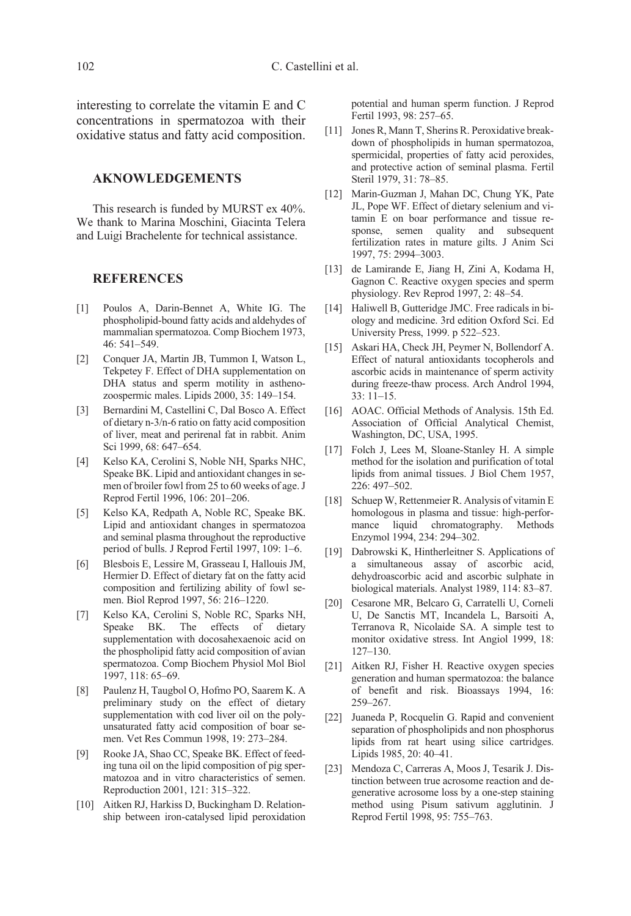interesting to correlate the vitamin E and C concentrations in spermatozoa with their oxidative status and fatty acid composition.

### AKNOWLEDGEMENTS

This research is funded by MURST ex 40%. We thank to Marina Moschini, Giacinta Telera and Luigi Brachelente for technical assistance.

#### **REFERENCES**

- [1] Poulos A, Darin-Bennet A, White IG. The phospholipid-bound fatty acids and aldehydes of mammalian spermatozoa. Comp Biochem 1973, 46: 541–549.
- [2] Conquer JA, Martin JB, Tummon I, Watson L, Tekpetey F. Effect of DHA supplementation on DHA status and sperm motility in asthenozoospermic males. Lipids 2000, 35: 149–154.
- [3] Bernardini M, Castellini C, Dal Bosco A. Effect of dietary n-3/n-6 ratio on fatty acid composition of liver, meat and perirenal fat in rabbit. Anim Sci 1999, 68: 647–654.
- [4] Kelso KA, Cerolini S, Noble NH, Sparks NHC, Speake BK. Lipid and antioxidant changes in semen of broiler fowl from 25 to 60 weeks of age. J Reprod Fertil 1996, 106: 201–206.
- [5] Kelso KA, Redpath A, Noble RC, Speake BK. Lipid and antioxidant changes in spermatozoa and seminal plasma throughout the reproductive period of bulls. J Reprod Fertil 1997, 109: 1–6.
- [6] Blesbois E, Lessire M, Grasseau I, Hallouis JM, Hermier D. Effect of dietary fat on the fatty acid composition and fertilizing ability of fowl semen. Biol Reprod 1997, 56: 216–1220.
- [7] Kelso KA, Cerolini S, Noble RC, Sparks NH, Speake BK. The effects of dietary supplementation with docosahexaenoic acid on the phospholipid fatty acid composition of avian spermatozoa. Comp Biochem Physiol Mol Biol 1997, 118: 65–69.
- [8] Paulenz H, Taugbol O, Hofmo PO, Saarem K. A preliminary study on the effect of dietary supplementation with cod liver oil on the polyunsaturated fatty acid composition of boar semen. Vet Res Commun 1998, 19: 273–284.
- [9] Rooke JA, Shao CC, Speake BK. Effect of feeding tuna oil on the lipid composition of pig spermatozoa and in vitro characteristics of semen. Reproduction 2001, 121: 315–322.
- [10] Aitken RJ, Harkiss D, Buckingham D. Relationship between iron-catalysed lipid peroxidation

potential and human sperm function. J Reprod Fertil 1993, 98: 257–65.

- [11] Jones R, Mann T, Sherins R. Peroxidative breakdown of phospholipids in human spermatozoa, spermicidal, properties of fatty acid peroxides, and protective action of seminal plasma. Fertil Steril 1979, 31: 78–85.
- [12] Marin-Guzman J, Mahan DC, Chung YK, Pate JL, Pope WF. Effect of dietary selenium and vitamin E on boar performance and tissue response, semen quality and subsequent fertilization rates in mature gilts. J Anim Sci 1997, 75: 2994–3003.
- [13] de Lamirande E, Jiang H, Zini A, Kodama H, Gagnon C. Reactive oxygen species and sperm physiology. Rev Reprod 1997, 2: 48–54.
- [14] Haliwell B, Gutteridge JMC. Free radicals in biology and medicine. 3rd edition Oxford Sci. Ed University Press, 1999. p 522–523.
- [15] Askari HA, Check JH, Peymer N, Bollendorf A. Effect of natural antioxidants tocopherols and ascorbic acids in maintenance of sperm activity during freeze-thaw process. Arch Androl 1994, 33: 11–15.
- [16] AOAC. Official Methods of Analysis. 15th Ed. Association of Official Analytical Chemist, Washington, DC, USA, 1995.
- [17] Folch J, Lees M, Sloane-Stanley H. A simple method for the isolation and purification of total lipids from animal tissues. J Biol Chem 1957, 226: 497–502.
- [18] Schuep W, Rettenmeier R, Analysis of vitamin E homologous in plasma and tissue: high-performance liquid chromatography. Methods Enzymol 1994, 234: 294–302.
- [19] Dabrowski K, Hintherleitner S. Applications of a simultaneous assay of ascorbic acid, dehydroascorbic acid and ascorbic sulphate in biological materials. Analyst 1989, 114: 83–87.
- [20] Cesarone MR, Belcaro G, Carratelli U, Corneli U, De Sanctis MT, Incandela L, Barsoiti A, Terranova R, Nicolaide SA. A simple test to monitor oxidative stress. Int Angiol 1999, 18: 127–130.
- [21] Aitken RJ, Fisher H. Reactive oxygen species generation and human spermatozoa: the balance of benefit and risk. Bioassays 1994, 16: 259–267.
- [22] Juaneda P, Rocquelin G. Rapid and convenient separation of phospholipids and non phosphorus lipids from rat heart using silice cartridges. Lipids 1985, 20: 40–41.
- [23] Mendoza C, Carreras A, Moos J, Tesarik J. Distinction between true acrosome reaction and degenerative acrosome loss by a one-step staining method using Pisum sativum agglutinin. J Reprod Fertil 1998, 95: 755–763.